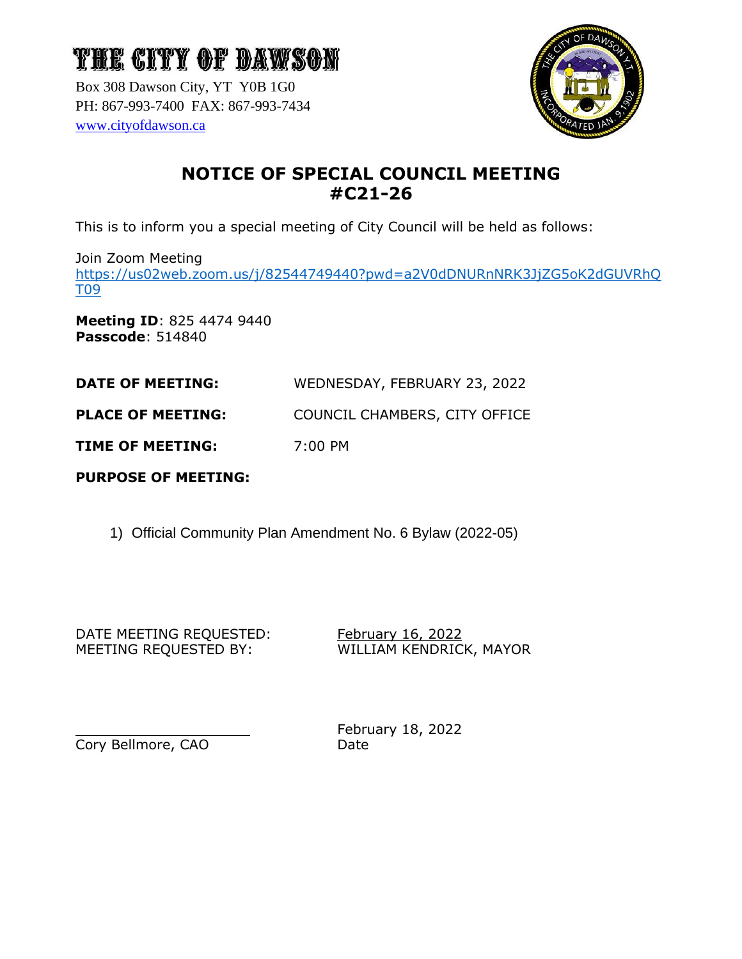Box 308 Dawson City, YT Y0B 1G0 PH: 867-993-7400 FAX: 867-993-7434 [www.cityofdawson.ca](http://www.cityofdawson.ca/)



### **NOTICE OF SPECIAL COUNCIL MEETING #C21-26**

This is to inform you a special meeting of City Council will be held as follows:

Join Zoom Meeting

[https://us02web.zoom.us/j/82544749440?pwd=a2V0dDNURnNRK3JjZG5oK2dGUVRhQ](https://us02web.zoom.us/j/82544749440?pwd=a2V0dDNURnNRK3JjZG5oK2dGUVRhQT09) [T09](https://us02web.zoom.us/j/82544749440?pwd=a2V0dDNURnNRK3JjZG5oK2dGUVRhQT09)

**Meeting ID**: 825 4474 9440 **Passcode**: 514840

**DATE OF MEETING:** WEDNESDAY, FEBRUARY 23, 2022

**PLACE OF MEETING:** COUNCIL CHAMBERS, CITY OFFICE

**TIME OF MEETING:** 7:00 PM

**PURPOSE OF MEETING:**

1) Official Community Plan Amendment No. 6 Bylaw (2022-05)

DATE MEETING REQUESTED: February 16, 2022 MEETING REQUESTED BY: WILLIAM KENDRICK, MAYOR

Cory Bellmore, CAO Date

February 18, 2022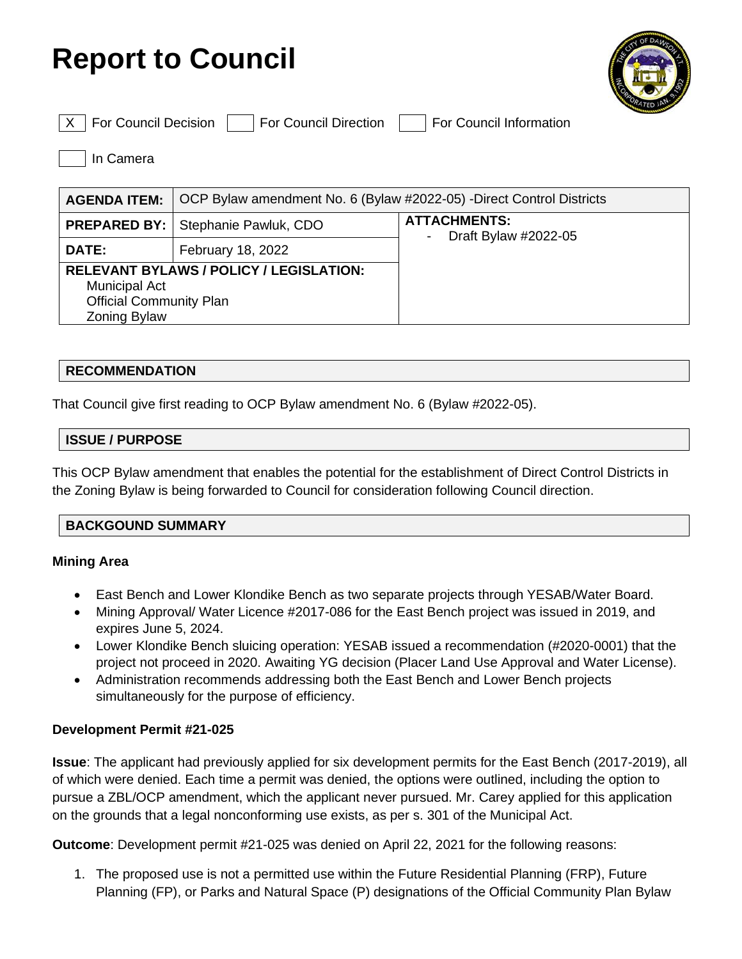## **Report to Council**



 $\vert$  For Council Decision  $\vert$   $\vert$  For Council Direction  $\vert$  For Council Information

In Camera

| <b>AGENDA ITEM:</b>                                                                                                             | OCP Bylaw amendment No. 6 (Bylaw #2022-05) -Direct Control Districts |                                             |
|---------------------------------------------------------------------------------------------------------------------------------|----------------------------------------------------------------------|---------------------------------------------|
|                                                                                                                                 | <b>PREPARED BY:   Stephanie Pawluk, CDO</b>                          | <b>ATTACHMENTS:</b><br>Draft Bylaw #2022-05 |
| <b>DATE:</b>                                                                                                                    | February 18, 2022                                                    |                                             |
| <b>RELEVANT BYLAWS / POLICY / LEGISLATION:</b><br><b>Municipal Act</b><br><b>Official Community Plan</b><br><b>Zoning Bylaw</b> |                                                                      |                                             |

#### **RECOMMENDATION**

That Council give first reading to OCP Bylaw amendment No. 6 (Bylaw #2022-05).

#### **ISSUE / PURPOSE**

This OCP Bylaw amendment that enables the potential for the establishment of Direct Control Districts in the Zoning Bylaw is being forwarded to Council for consideration following Council direction.

#### **BACKGOUND SUMMARY**

#### **Mining Area**

- East Bench and Lower Klondike Bench as two separate projects through YESAB/Water Board.
- Mining Approval/ Water Licence #2017-086 for the East Bench project was issued in 2019, and expires June 5, 2024.
- Lower Klondike Bench sluicing operation: YESAB issued a recommendation (#2020-0001) that the project not proceed in 2020. Awaiting YG decision (Placer Land Use Approval and Water License).
- Administration recommends addressing both the East Bench and Lower Bench projects simultaneously for the purpose of efficiency.

#### **Development Permit #21-025**

**Issue**: The applicant had previously applied for six development permits for the East Bench (2017-2019), all of which were denied. Each time a permit was denied, the options were outlined, including the option to pursue a ZBL/OCP amendment, which the applicant never pursued. Mr. Carey applied for this application on the grounds that a legal nonconforming use exists, as per s. 301 of the Municipal Act.

**Outcome**: Development permit #21-025 was denied on April 22, 2021 for the following reasons:

1. The proposed use is not a permitted use within the Future Residential Planning (FRP), Future Planning (FP), or Parks and Natural Space (P) designations of the Official Community Plan Bylaw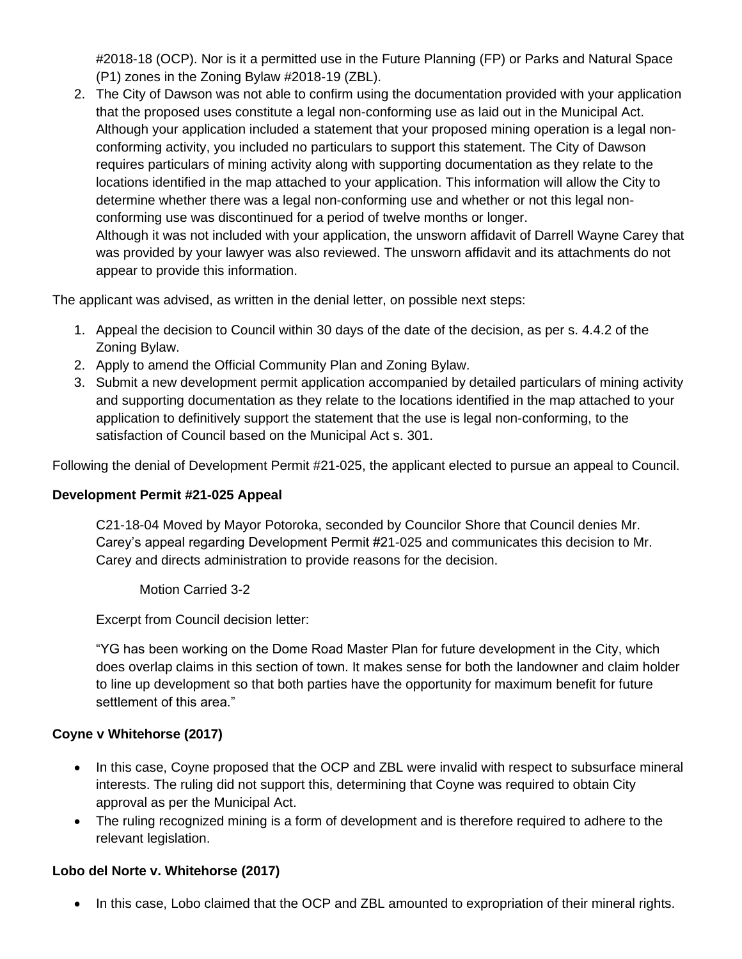#2018-18 (OCP). Nor is it a permitted use in the Future Planning (FP) or Parks and Natural Space (P1) zones in the Zoning Bylaw #2018-19 (ZBL).

2. The City of Dawson was not able to confirm using the documentation provided with your application that the proposed uses constitute a legal non-conforming use as laid out in the Municipal Act. Although your application included a statement that your proposed mining operation is a legal nonconforming activity, you included no particulars to support this statement. The City of Dawson requires particulars of mining activity along with supporting documentation as they relate to the locations identified in the map attached to your application. This information will allow the City to determine whether there was a legal non-conforming use and whether or not this legal nonconforming use was discontinued for a period of twelve months or longer. Although it was not included with your application, the unsworn affidavit of Darrell Wayne Carey that was provided by your lawyer was also reviewed. The unsworn affidavit and its attachments do not appear to provide this information.

The applicant was advised, as written in the denial letter, on possible next steps:

- 1. Appeal the decision to Council within 30 days of the date of the decision, as per s. 4.4.2 of the Zoning Bylaw.
- 2. Apply to amend the Official Community Plan and Zoning Bylaw.
- 3. Submit a new development permit application accompanied by detailed particulars of mining activity and supporting documentation as they relate to the locations identified in the map attached to your application to definitively support the statement that the use is legal non-conforming, to the satisfaction of Council based on the Municipal Act s. 301.

Following the denial of Development Permit #21-025, the applicant elected to pursue an appeal to Council.

#### **Development Permit #21-025 Appeal**

C21-18-04 Moved by Mayor Potoroka, seconded by Councilor Shore that Council denies Mr. Carey's appeal regarding Development Permit #21-025 and communicates this decision to Mr. Carey and directs administration to provide reasons for the decision.

Motion Carried 3-2

Excerpt from Council decision letter:

"YG has been working on the Dome Road Master Plan for future development in the City, which does overlap claims in this section of town. It makes sense for both the landowner and claim holder to line up development so that both parties have the opportunity for maximum benefit for future settlement of this area."

#### **Coyne v Whitehorse (2017)**

- In this case, Coyne proposed that the OCP and ZBL were invalid with respect to subsurface mineral interests. The ruling did not support this, determining that Coyne was required to obtain City approval as per the Municipal Act.
- The ruling recognized mining is a form of development and is therefore required to adhere to the relevant legislation.

#### **Lobo del Norte v. Whitehorse (2017)**

• In this case, Lobo claimed that the OCP and ZBL amounted to expropriation of their mineral rights.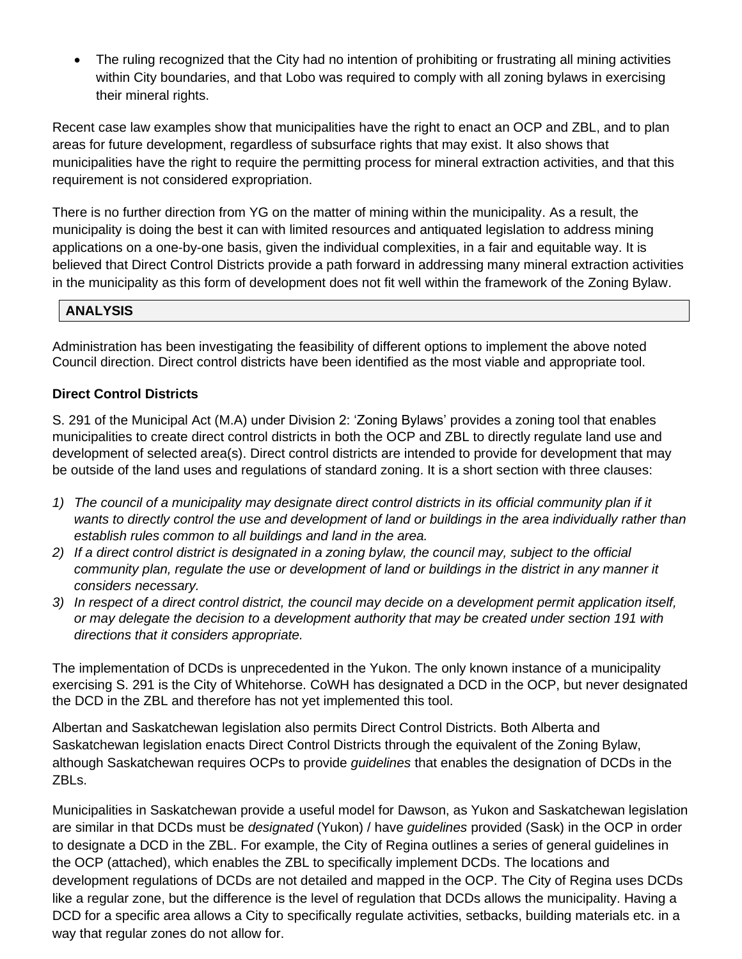• The ruling recognized that the City had no intention of prohibiting or frustrating all mining activities within City boundaries, and that Lobo was required to comply with all zoning bylaws in exercising their mineral rights.

Recent case law examples show that municipalities have the right to enact an OCP and ZBL, and to plan areas for future development, regardless of subsurface rights that may exist. It also shows that municipalities have the right to require the permitting process for mineral extraction activities, and that this requirement is not considered expropriation.

There is no further direction from YG on the matter of mining within the municipality. As a result, the municipality is doing the best it can with limited resources and antiquated legislation to address mining applications on a one-by-one basis, given the individual complexities, in a fair and equitable way. It is believed that Direct Control Districts provide a path forward in addressing many mineral extraction activities in the municipality as this form of development does not fit well within the framework of the Zoning Bylaw.

#### **ANALYSIS**

Administration has been investigating the feasibility of different options to implement the above noted Council direction. Direct control districts have been identified as the most viable and appropriate tool.

#### **Direct Control Districts**

S. 291 of the Municipal Act (M.A) under Division 2: 'Zoning Bylaws' provides a zoning tool that enables municipalities to create direct control districts in both the OCP and ZBL to directly regulate land use and development of selected area(s). Direct control districts are intended to provide for development that may be outside of the land uses and regulations of standard zoning. It is a short section with three clauses:

- 1) The council of a municipality may designate direct control districts in its official community plan if it *wants to directly control the use and development of land or buildings in the area individually rather than establish rules common to all buildings and land in the area.*
- *2) If a direct control district is designated in a zoning bylaw, the council may, subject to the official community plan, regulate the use or development of land or buildings in the district in any manner it considers necessary.*
- *3) In respect of a direct control district, the council may decide on a development permit application itself, or may delegate the decision to a development authority that may be created under section 191 with directions that it considers appropriate.*

The implementation of DCDs is unprecedented in the Yukon. The only known instance of a municipality exercising S. 291 is the City of Whitehorse. CoWH has designated a DCD in the OCP, but never designated the DCD in the ZBL and therefore has not yet implemented this tool.

Albertan and Saskatchewan legislation also permits Direct Control Districts. Both Alberta and Saskatchewan legislation enacts Direct Control Districts through the equivalent of the Zoning Bylaw, although Saskatchewan requires OCPs to provide *guidelines* that enables the designation of DCDs in the ZBLs.

Municipalities in Saskatchewan provide a useful model for Dawson, as Yukon and Saskatchewan legislation are similar in that DCDs must be *designated* (Yukon) / have *guidelines* provided (Sask) in the OCP in order to designate a DCD in the ZBL. For example, the City of Regina outlines a series of general guidelines in the OCP (attached), which enables the ZBL to specifically implement DCDs. The locations and development regulations of DCDs are not detailed and mapped in the OCP. The City of Regina uses DCDs like a regular zone, but the difference is the level of regulation that DCDs allows the municipality. Having a DCD for a specific area allows a City to specifically regulate activities, setbacks, building materials etc. in a way that regular zones do not allow for.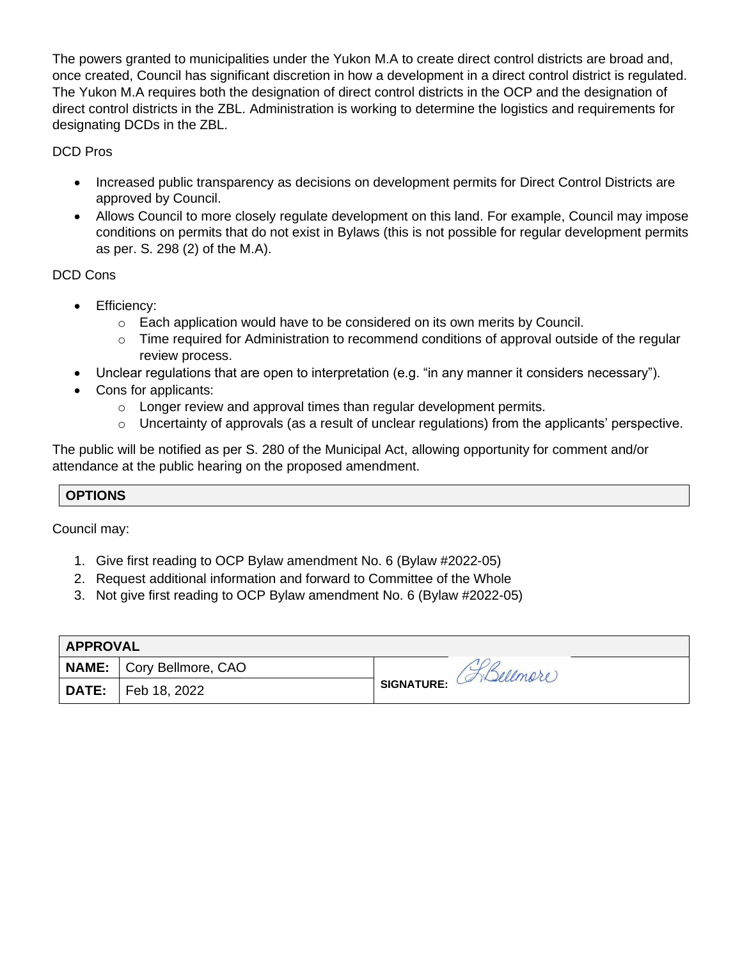The powers granted to municipalities under the Yukon M.A to create direct control districts are broad and, once created, Council has significant discretion in how a development in a direct control district is regulated. The Yukon M.A requires both the designation of direct control districts in the OCP and the designation of direct control districts in the ZBL. Administration is working to determine the logistics and requirements for designating DCDs in the ZBL.

DCD Pros

- Increased public transparency as decisions on development permits for Direct Control Districts are approved by Council.
- Allows Council to more closely regulate development on this land. For example, Council may impose conditions on permits that do not exist in Bylaws (this is not possible for regular development permits as per. S. 298 (2) of the M.A).

#### DCD Cons

- Efficiency:
	- $\circ$  Each application would have to be considered on its own merits by Council.
	- $\circ$  Time required for Administration to recommend conditions of approval outside of the regular review process.
- Unclear regulations that are open to interpretation (e.g. "in any manner it considers necessary").
- Cons for applicants:
	- o Longer review and approval times than regular development permits.
	- o Uncertainty of approvals (as a result of unclear regulations) from the applicants' perspective.

The public will be notified as per S. 280 of the Municipal Act, allowing opportunity for comment and/or attendance at the public hearing on the proposed amendment.

#### **OPTIONS**

Council may:

- 1. Give first reading to OCP Bylaw amendment No. 6 (Bylaw #2022-05)
- 2. Request additional information and forward to Committee of the Whole
- 3. Not give first reading to OCP Bylaw amendment No. 6 (Bylaw #2022-05)

| <b>APPROVAL</b> |                          |                        |  |  |
|-----------------|--------------------------|------------------------|--|--|
|                 | NAME: Cory Bellmore, CAO |                        |  |  |
| DATE:           | Feb 18, 2022             | SIGNATURE: (ADellmere) |  |  |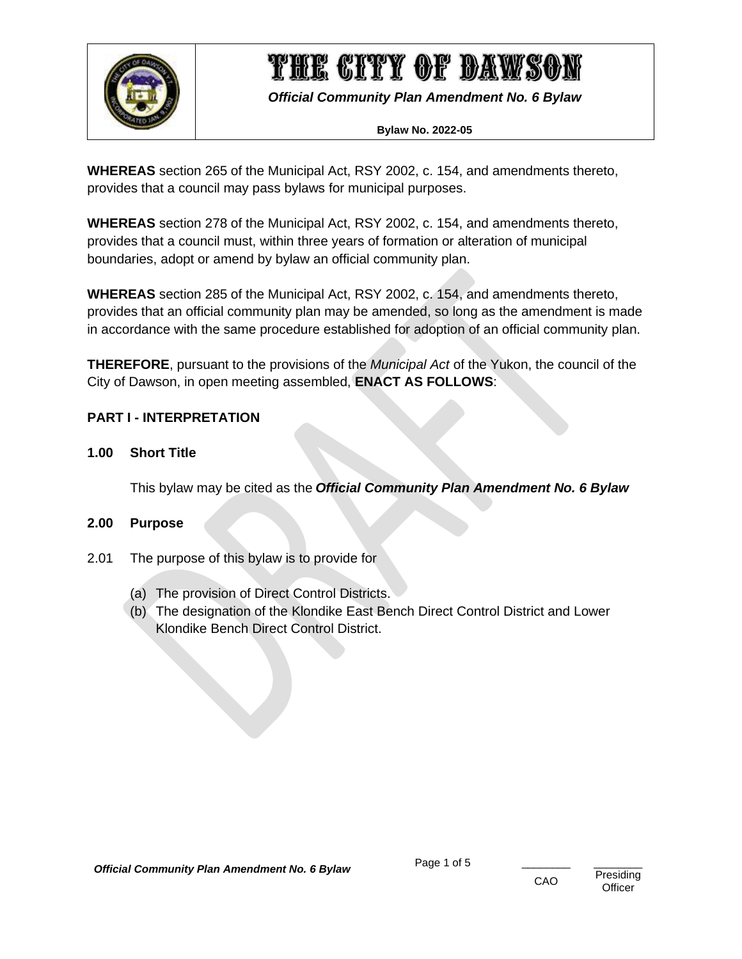

*Official Community Plan Amendment No. 6 Bylaw*

#### **Bylaw No. 2022-05**

**WHEREAS** section 265 of the Municipal Act, RSY 2002, c. 154, and amendments thereto, provides that a council may pass bylaws for municipal purposes.

**WHEREAS** section 278 of the Municipal Act, RSY 2002, c. 154, and amendments thereto, provides that a council must, within three years of formation or alteration of municipal boundaries, adopt or amend by bylaw an official community plan.

**WHEREAS** section 285 of the Municipal Act, RSY 2002, c. 154, and amendments thereto, provides that an official community plan may be amended, so long as the amendment is made in accordance with the same procedure established for adoption of an official community plan.

**THEREFORE**, pursuant to the provisions of the *Municipal Act* of the Yukon, the council of the City of Dawson, in open meeting assembled, **ENACT AS FOLLOWS**:

#### <span id="page-5-0"></span>**PART I - INTERPRETATION**

#### <span id="page-5-1"></span>**1.00 Short Title**

This bylaw may be cited as the *Official Community Plan Amendment No. 6 Bylaw*

#### <span id="page-5-2"></span>**2.00 Purpose**

- 2.01 The purpose of this bylaw is to provide for
	- (a) The provision of Direct Control Districts.
	- (b) The designation of the Klondike East Bench Direct Control District and Lower Klondike Bench Direct Control District.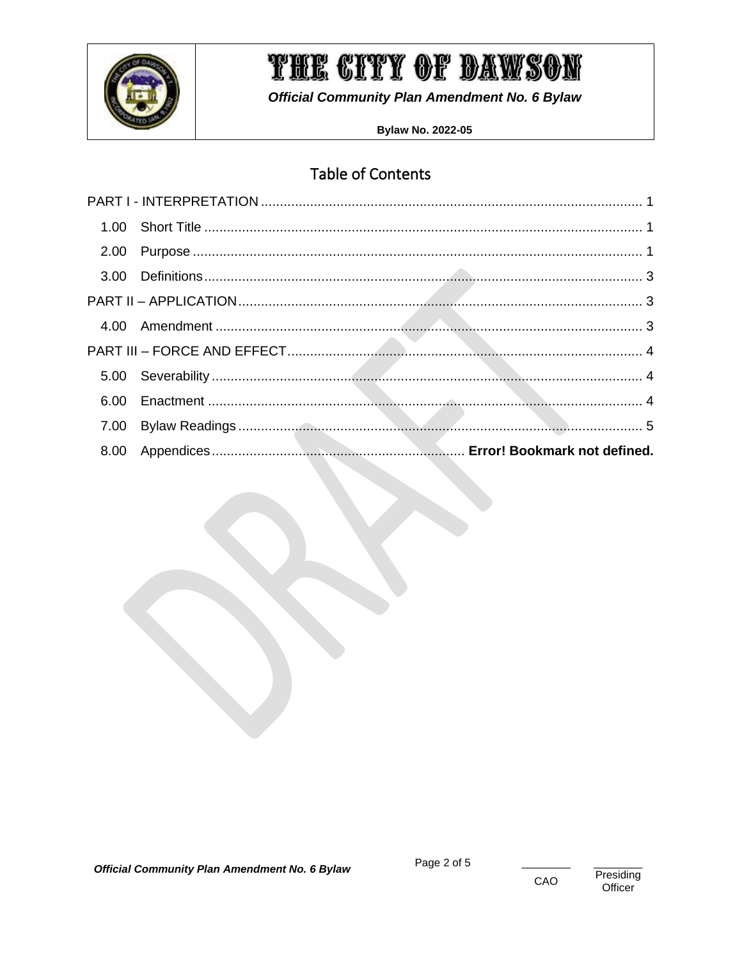

**Official Community Plan Amendment No. 6 Bylaw** 

**Bylaw No. 2022-05** 

### **Table of Contents**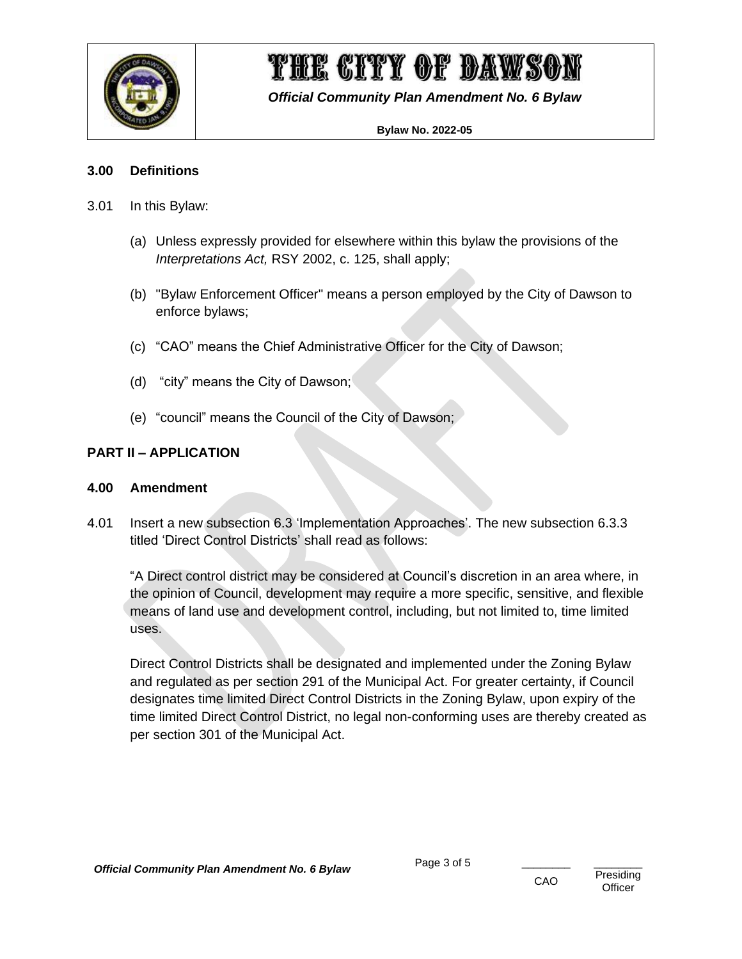

*Official Community Plan Amendment No. 6 Bylaw*

#### **Bylaw No. 2022-05**

#### <span id="page-7-0"></span>**3.00 Definitions**

- 3.01 In this Bylaw:
	- (a) Unless expressly provided for elsewhere within this bylaw the provisions of the *Interpretations Act,* RSY 2002, c. 125, shall apply;
	- (b) "Bylaw Enforcement Officer" means a person employed by the City of Dawson to enforce bylaws;
	- (c) "CAO" means the Chief Administrative Officer for the City of Dawson;
	- (d) "city" means the City of Dawson;
	- (e) "council" means the Council of the City of Dawson;

#### <span id="page-7-1"></span>**PART II – APPLICATION**

#### <span id="page-7-2"></span>**4.00 Amendment**

4.01 Insert a new subsection 6.3 'Implementation Approaches'. The new subsection 6.3.3 titled 'Direct Control Districts' shall read as follows:

"A Direct control district may be considered at Council's discretion in an area where, in the opinion of Council, development may require a more specific, sensitive, and flexible means of land use and development control, including, but not limited to, time limited uses.

Direct Control Districts shall be designated and implemented under the Zoning Bylaw and regulated as per section 291 of the Municipal Act. For greater certainty, if Council designates time limited Direct Control Districts in the Zoning Bylaw, upon expiry of the time limited Direct Control District, no legal non-conforming uses are thereby created as per section 301 of the Municipal Act.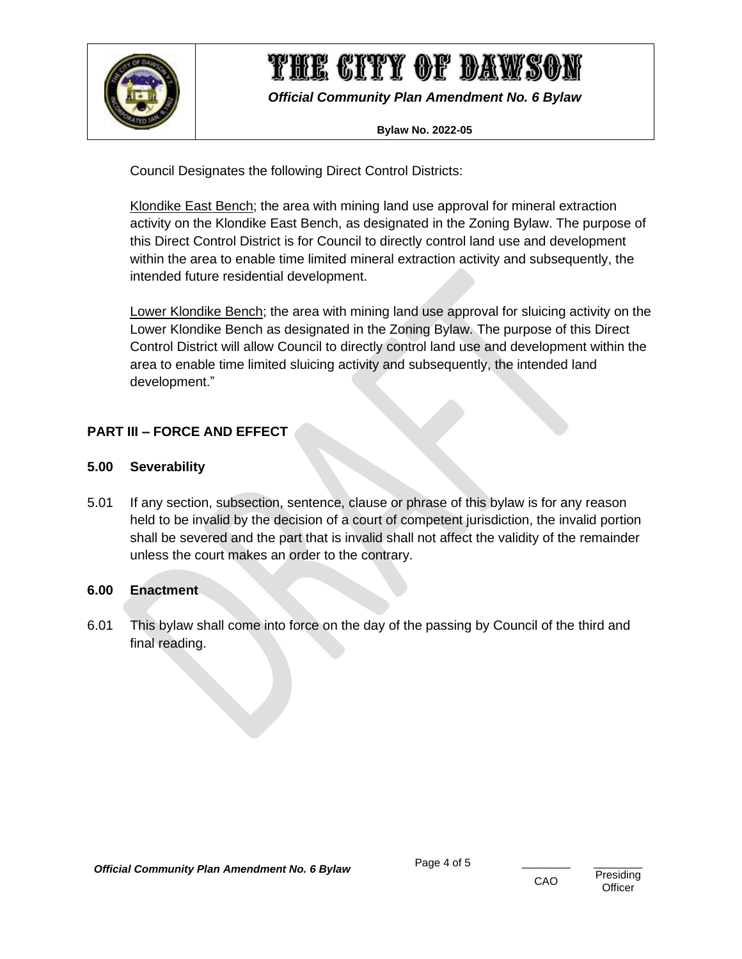

*Official Community Plan Amendment No. 6 Bylaw*

#### **Bylaw No. 2022-05**

Council Designates the following Direct Control Districts:

Klondike East Bench; the area with mining land use approval for mineral extraction activity on the Klondike East Bench, as designated in the Zoning Bylaw. The purpose of this Direct Control District is for Council to directly control land use and development within the area to enable time limited mineral extraction activity and subsequently, the intended future residential development.

Lower Klondike Bench; the area with mining land use approval for sluicing activity on the Lower Klondike Bench as designated in the Zoning Bylaw. The purpose of this Direct Control District will allow Council to directly control land use and development within the area to enable time limited sluicing activity and subsequently, the intended land development."

#### <span id="page-8-0"></span>**PART III – FORCE AND EFFECT**

#### <span id="page-8-1"></span>**5.00 Severability**

5.01 If any section, subsection, sentence, clause or phrase of this bylaw is for any reason held to be invalid by the decision of a court of competent jurisdiction, the invalid portion shall be severed and the part that is invalid shall not affect the validity of the remainder unless the court makes an order to the contrary.

#### <span id="page-8-2"></span>**6.00 Enactment**

6.01 This bylaw shall come into force on the day of the passing by Council of the third and final reading.